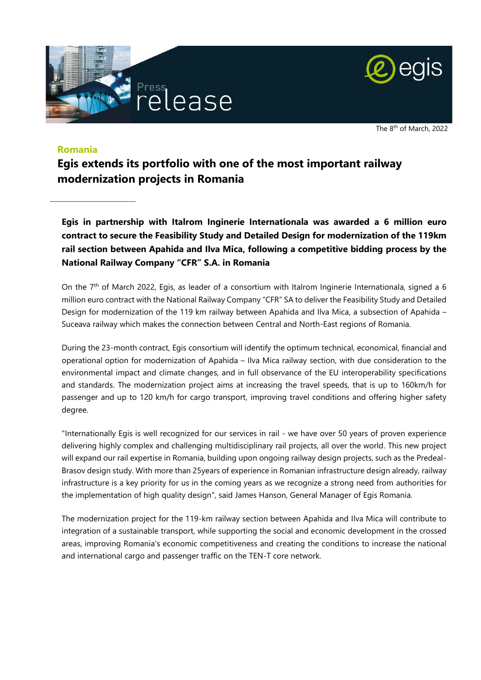



The 8<sup>th</sup> of March, 2022

## **Romania**

\_\_\_\_\_\_\_\_\_\_\_\_\_\_\_\_\_\_\_\_\_\_\_\_\_\_\_\_\_\_\_\_

**Egis extends its portfolio with one of the most important railway modernization projects in Romania**

**Egis in partnership with Italrom Inginerie Internationala was awarded a 6 million euro contract to secure the Feasibility Study and Detailed Design for modernization of the 119km rail section between Apahida and Ilva Mica, following a competitive bidding process by the National Railway Company "CFR" S.A. in Romania**

On the 7th of March 2022, Egis, as leader of a consortium with Italrom Inginerie Internationala, signed a 6 million euro contract with the National Railway Company "CFR" SA to deliver the Feasibility Study and Detailed Design for modernization of the 119 km railway between Apahida and Ilva Mica, a subsection of Apahida – Suceava railway which makes the connection between Central and North-East regions of Romania.

During the 23-month contract, Egis consortium will identify the optimum technical, economical, financial and operational option for modernization of Apahida – Ilva Mica railway section, with due consideration to the environmental impact and climate changes, and in full observance of the EU interoperability specifications and standards. The modernization project aims at increasing the travel speeds, that is up to 160km/h for passenger and up to 120 km/h for cargo transport, improving travel conditions and offering higher safety degree.

"Internationally Egis is well recognized for our services in rail - we have over 50 years of proven experience delivering highly complex and challenging multidisciplinary rail projects, all over the world. This new project will expand our rail expertise in Romania, building upon ongoing railway design projects, such as the Predeal-Brasov design study. With more than 25years of experience in Romanian infrastructure design already, railway infrastructure is a key priority for us in the coming years as we recognize a strong need from authorities for the implementation of high quality design", said James Hanson, General Manager of Egis Romania.

The modernization project for the 119-km railway section between Apahida and Ilva Mica will contribute to integration of a sustainable transport, while supporting the social and economic development in the crossed areas, improving Romania's economic competitiveness and creating the conditions to increase the national and international cargo and passenger traffic on the TEN-T core network.